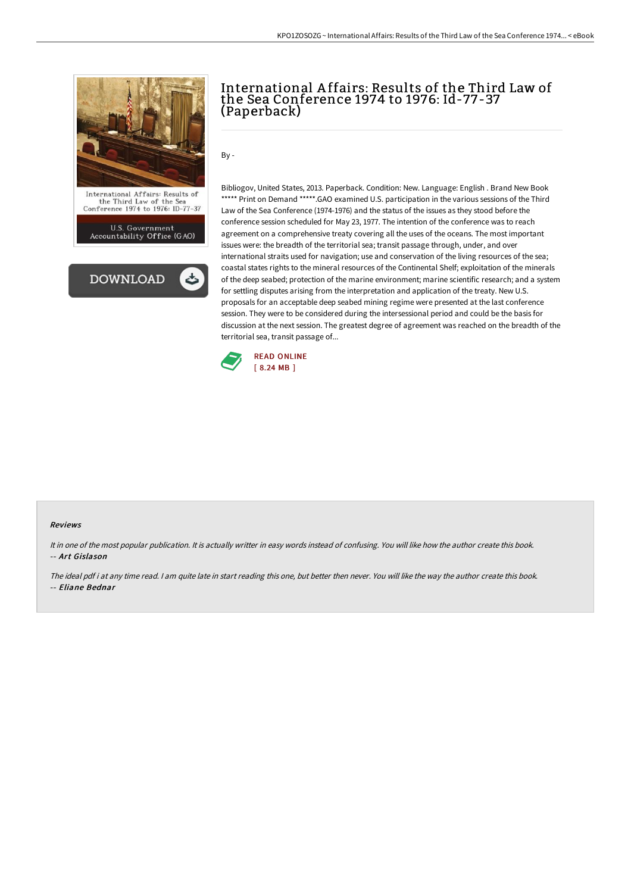

International Affairs: Results of<br>the Third Law of the Sea<br>Conference 1974 to 1976: ID-77-37

U.S. Government<br>Accountability Office (GAO)



## International A ffairs: Results of the Third Law of the Sea Conference 1974 to 1976: Id-77-37 (Paperback)

By -

Bibliogov, United States, 2013. Paperback. Condition: New. Language: English . Brand New Book \*\*\*\*\* Print on Demand \*\*\*\*\*.GAO examined U.S. participation in the various sessions of the Third Law of the Sea Conference (1974-1976) and the status of the issues as they stood before the conference session scheduled for May 23, 1977. The intention of the conference was to reach agreement on a comprehensive treaty covering all the uses of the oceans. The most important issues were: the breadth of the territorial sea; transit passage through, under, and over international straits used for navigation; use and conservation of the living resources of the sea; coastal states rights to the mineral resources of the Continental Shelf; exploitation of the minerals of the deep seabed; protection of the marine environment; marine scientific research; and a system for settling disputes arising from the interpretation and application of the treaty. New U.S. proposals for an acceptable deep seabed mining regime were presented at the last conference session. They were to be considered during the intersessional period and could be the basis for discussion at the next session. The greatest degree of agreement was reached on the breadth of the territorial sea, transit passage of...



## Reviews

It in one of the most popular publication. It is actually writter in easy words instead of confusing. You will like how the author create this book. -- Art Gislason

The ideal pdf i at any time read. <sup>I</sup> am quite late in start reading this one, but better then never. You will like the way the author create this book. -- Eliane Bednar